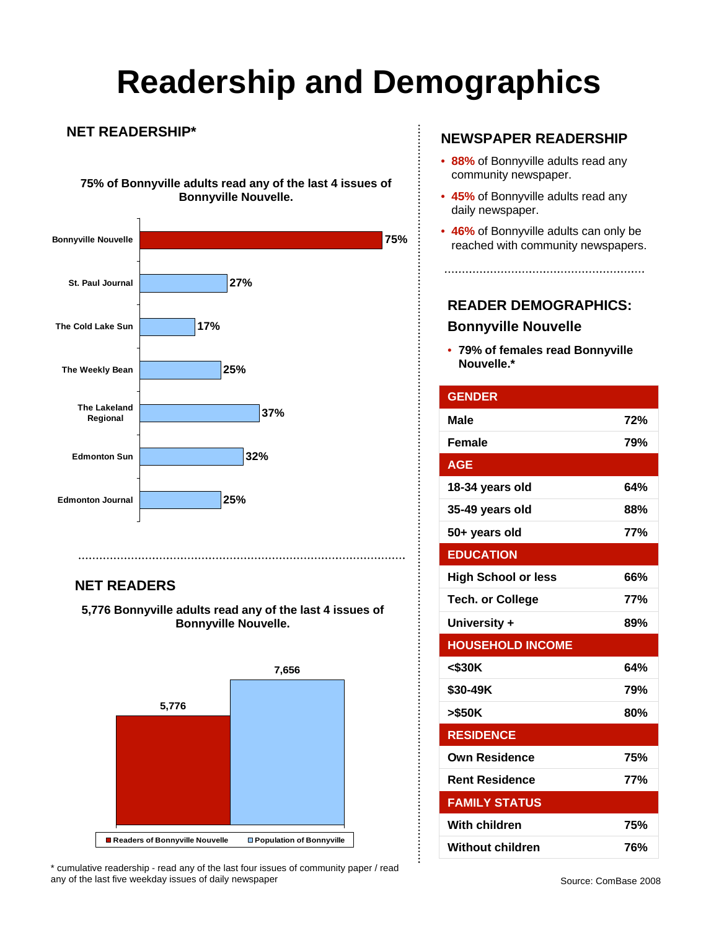# **Readership and Demographics**

#### **NET READERSHIP\***

**75% of Bonnyville adults read any of the last 4 issues of Bonnyville Nouvelle.**



### **NET READERS**

**5,776 Bonnyville adults read any of the last 4 issues of Bonnyville Nouvelle.** 



\* cumulative readership - read any of the last four issues of community paper / read any of the last five weekday issues of daily newspaper

### **NEWSPAPER READERSHIP**

- **88%** of Bonnyville adults read any community newspaper.
- **45%** of Bonnyville adults read any daily newspaper.
- **46%** of Bonnyville adults can only be reached with community newspapers.

## **READER DEMOGRAPHICS: Bonnyville Nouvelle**

• **79% of females read Bonnyville Nouvelle.\***

| <b>GENDER</b>              |            |
|----------------------------|------------|
| Male                       | 72%        |
| <b>Female</b>              | 79%        |
| <b>AGE</b>                 |            |
| 18-34 years old            | 64%        |
| 35-49 years old            | 88%        |
| 50+ years old              | 77%        |
| <b>EDUCATION</b>           |            |
| <b>High School or less</b> | 66%        |
| <b>Tech. or College</b>    | <b>77%</b> |
| University +               | 89%        |
| <b>HOUSEHOLD INCOME</b>    |            |
| $<$ \$30K                  | 64%        |
| \$30-49K                   | 79%        |
| >\$50K                     | 80%        |
| <b>RESIDENCE</b>           |            |
| <b>Own Residence</b>       | 75%        |
| <b>Rent Residence</b>      | 77%        |
| <b>FAMILY STATUS</b>       |            |
| With children              | 75%        |
| Without children           | 76%        |

 $\vdots$